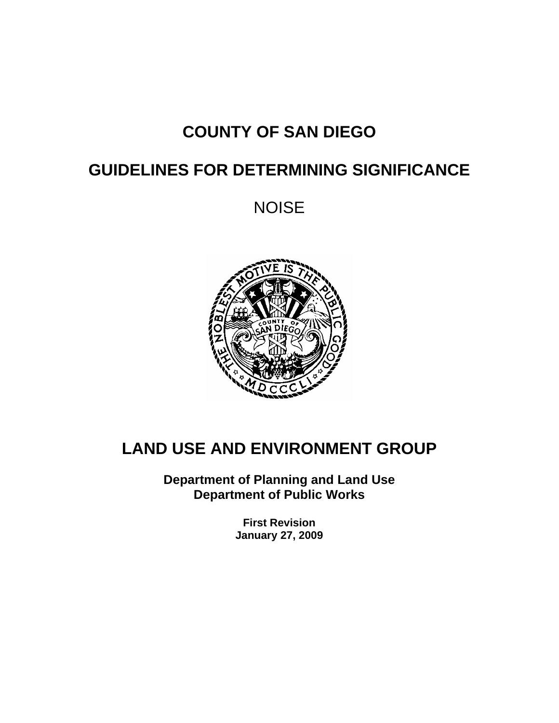# **COUNTY OF SAN DIEGO**

# **GUIDELINES FOR DETERMINING SIGNIFICANCE**

NOISE



# **LAND USE AND ENVIRONMENT GROUP**

**Department of Planning and Land Use Department of Public Works** 

> **First Revision January 27, 2009**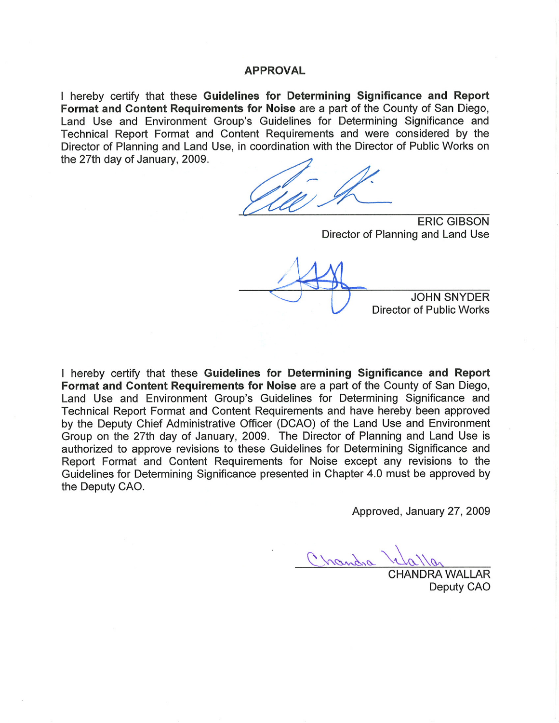#### **APPROVAL**

I hereby certify that these Guidelines for Determining Significance and Report Format and Content Requirements for Noise are a part of the County of San Diego, Land Use and Environment Group's Guidelines for Determining Significance and Technical Report Format and Content Requirements and were considered by the Director of Planning and Land Use, in coordination with the Director of Public Works on the 27th day of January, 2009.

**ERIC GIBSON** Director of Planning and Land Use

**JOHN SNYDER Director of Public Works** 

I hereby certify that these Guidelines for Determining Significance and Report Format and Content Requirements for Noise are a part of the County of San Diego, Land Use and Environment Group's Guidelines for Determining Significance and Technical Report Format and Content Requirements and have hereby been approved by the Deputy Chief Administrative Officer (DCAO) of the Land Use and Environment Group on the 27th day of January, 2009. The Director of Planning and Land Use is authorized to approve revisions to these Guidelines for Determining Significance and Report Format and Content Requirements for Noise except any revisions to the Guidelines for Determining Significance presented in Chapter 4.0 must be approved by the Deputy CAO.

Approved, January 27, 2009

Chandra

**HANDRA WALLAR** Deputy CAO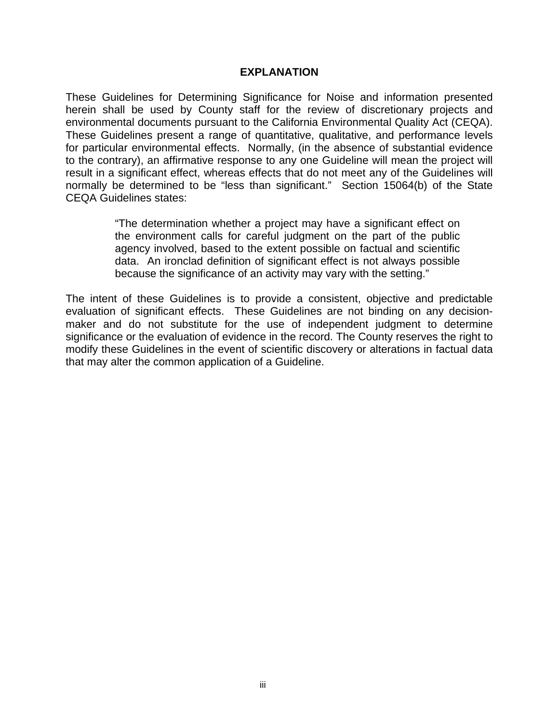#### **EXPLANATION**

These Guidelines for Determining Significance for Noise and information presented herein shall be used by County staff for the review of discretionary projects and environmental documents pursuant to the California Environmental Quality Act (CEQA). These Guidelines present a range of quantitative, qualitative, and performance levels for particular environmental effects. Normally, (in the absence of substantial evidence to the contrary), an affirmative response to any one Guideline will mean the project will result in a significant effect, whereas effects that do not meet any of the Guidelines will normally be determined to be "less than significant." Section 15064(b) of the State CEQA Guidelines states:

> "The determination whether a project may have a significant effect on the environment calls for careful judgment on the part of the public agency involved, based to the extent possible on factual and scientific data. An ironclad definition of significant effect is not always possible because the significance of an activity may vary with the setting."

The intent of these Guidelines is to provide a consistent, objective and predictable evaluation of significant effects. These Guidelines are not binding on any decisionmaker and do not substitute for the use of independent judgment to determine significance or the evaluation of evidence in the record. The County reserves the right to modify these Guidelines in the event of scientific discovery or alterations in factual data that may alter the common application of a Guideline.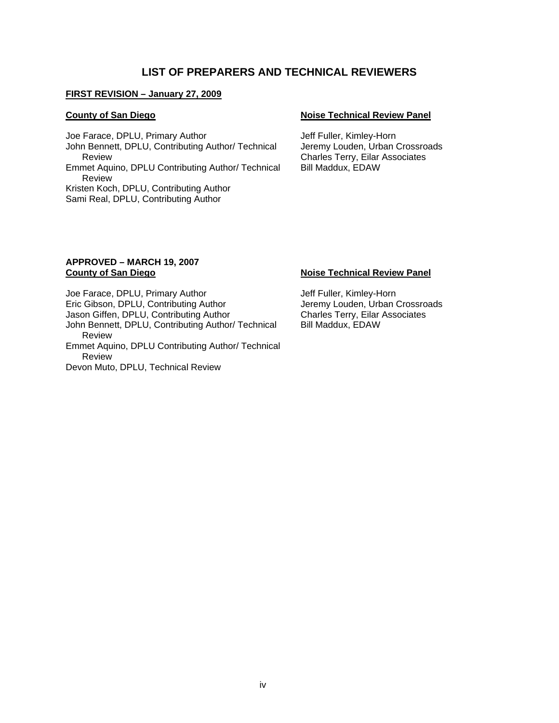#### **LIST OF PREPARERS AND TECHNICAL REVIEWERS**

#### **FIRST REVISION – January 27, 2009**

Joe Farace, DPLU, Primary Author Jeff Fuller, Kimley-Horn John Bennett, DPLU, Contributing Author/ Technical Review Emmet Aquino, DPLU Contributing Author/ Technical Review Kristen Koch, DPLU, Contributing Author Sami Real, DPLU, Contributing Author

#### **County of San Diego Noise Technical Review Panel**

Jeremy Louden, Urban Crossroads Charles Terry, Eilar Associates Bill Maddux, EDAW

#### **APPROVED – MARCH 19, 2007 County of San Diego Noise Technical Review Panel**

Joe Farace, DPLU, Primary Author Jeff Fuller, Kimley-Horn Eric Gibson, DPLU, Contributing Author *Jeremy Louden*, Urban Crossroads<br>Jason Giffen, DPLU, Contributing Author **Charles Terry, Ellar Associates** Jason Giffen, DPLU, Contributing Author John Bennett, DPLU, Contributing Author/ Technical Review Emmet Aquino, DPLU Contributing Author/ Technical Review

Devon Muto, DPLU, Technical Review

Bill Maddux, EDAW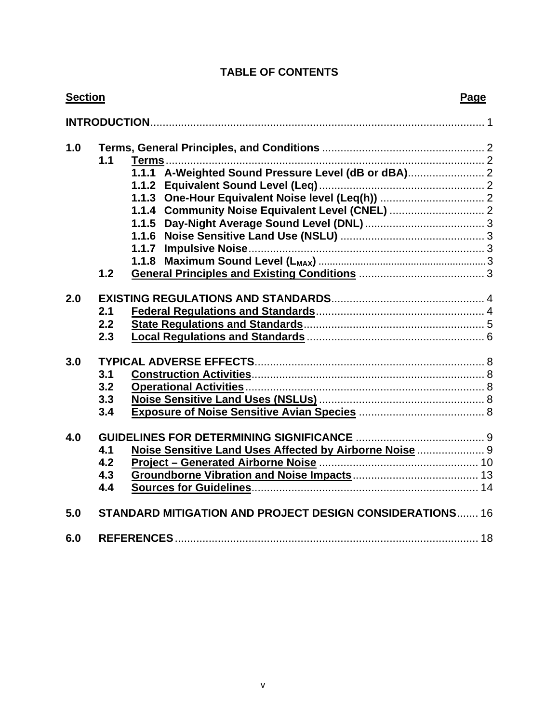# **TABLE OF CONTENTS**

| <b>Section</b> |                                                                 | Page |
|----------------|-----------------------------------------------------------------|------|
|                |                                                                 |      |
| 1.0            |                                                                 |      |
|                | 1.1                                                             |      |
|                | 1.1.1 A-Weighted Sound Pressure Level (dB or dBA)               |      |
|                |                                                                 |      |
|                | 1.1.3 One-Hour Equivalent Noise level (Leq(h))  2               |      |
|                | 1.1.4 Community Noise Equivalent Level (CNEL)  2                |      |
|                |                                                                 |      |
|                |                                                                 |      |
|                |                                                                 |      |
|                |                                                                 |      |
|                | 1.2                                                             |      |
| 2.0            |                                                                 |      |
|                | 2.1                                                             |      |
|                | 2.2                                                             |      |
|                | 2.3                                                             |      |
|                |                                                                 |      |
| 3.0            |                                                                 |      |
|                | 3.1                                                             |      |
|                | 3.2                                                             |      |
|                | 3.3                                                             |      |
|                | 3.4                                                             |      |
| 4.0            |                                                                 |      |
|                | Noise Sensitive Land Uses Affected by Airborne Noise  9<br>4.1  |      |
|                | 4.2                                                             |      |
|                | 4.3                                                             |      |
|                | 4.4                                                             |      |
|                |                                                                 |      |
| 5.0            | <b>STANDARD MITIGATION AND PROJECT DESIGN CONSIDERATIONS 16</b> |      |
| 6.0            |                                                                 |      |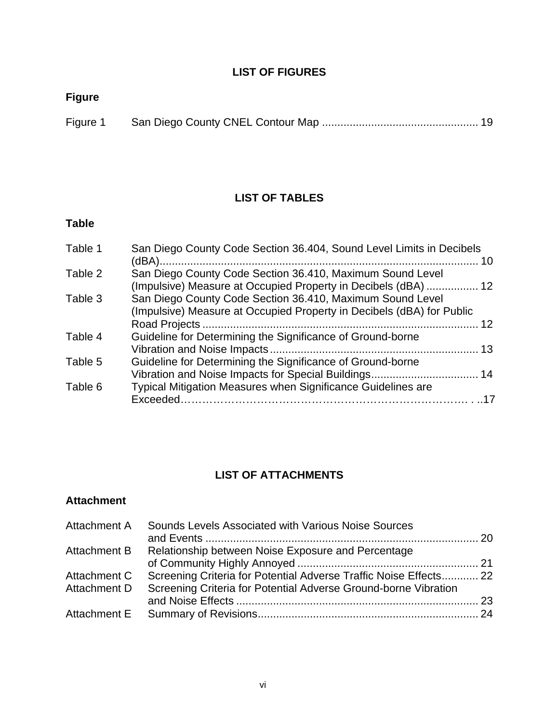#### **LIST OF FIGURES**

# **Figure**

| Figure 1 |  |  |
|----------|--|--|

# **LIST OF TABLES**

# **Table**

| San Diego County Code Section 36.404, Sound Level Limits in Decibels  |  |
|-----------------------------------------------------------------------|--|
|                                                                       |  |
| San Diego County Code Section 36.410, Maximum Sound Level             |  |
| (Impulsive) Measure at Occupied Property in Decibels (dBA)  12        |  |
| San Diego County Code Section 36.410, Maximum Sound Level             |  |
| (Impulsive) Measure at Occupied Property in Decibels (dBA) for Public |  |
|                                                                       |  |
| Guideline for Determining the Significance of Ground-borne            |  |
|                                                                       |  |
| Guideline for Determining the Significance of Ground-borne            |  |
|                                                                       |  |
| Typical Mitigation Measures when Significance Guidelines are          |  |
|                                                                       |  |
|                                                                       |  |

# **LIST OF ATTACHMENTS**

#### **Attachment**

| Sounds Levels Associated with Various Noise Sources             |                                                                   |
|-----------------------------------------------------------------|-------------------------------------------------------------------|
| Relationship between Noise Exposure and Percentage              |                                                                   |
|                                                                 |                                                                   |
|                                                                 |                                                                   |
| Screening Criteria for Potential Adverse Ground-borne Vibration |                                                                   |
|                                                                 |                                                                   |
|                                                                 |                                                                   |
|                                                                 | Screening Criteria for Potential Adverse Traffic Noise Effects 22 |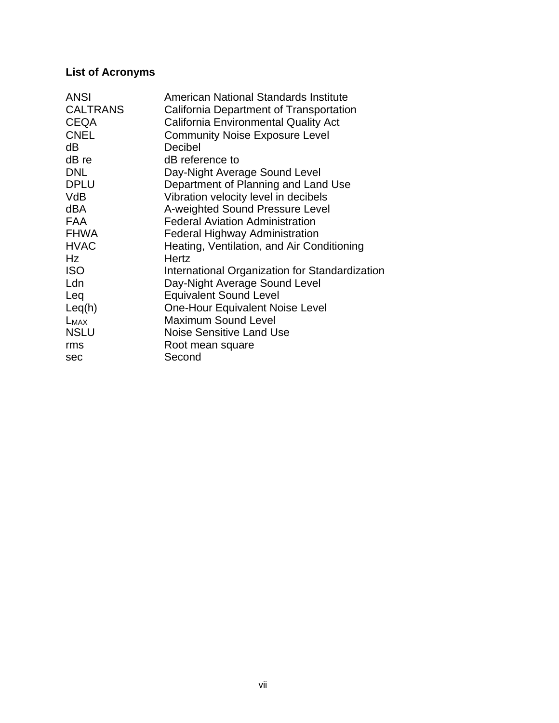# **List of Acronyms**

| <b>ANSI</b>     | American National Standards Institute          |
|-----------------|------------------------------------------------|
| <b>CALTRANS</b> | California Department of Transportation        |
| <b>CEQA</b>     | <b>California Environmental Quality Act</b>    |
| <b>CNEL</b>     | <b>Community Noise Exposure Level</b>          |
| dB              | Decibel                                        |
| dB re           | dB reference to                                |
| <b>DNL</b>      | Day-Night Average Sound Level                  |
| <b>DPLU</b>     | Department of Planning and Land Use            |
| VdB             | Vibration velocity level in decibels           |
| dBA             | A-weighted Sound Pressure Level                |
| <b>FAA</b>      | <b>Federal Aviation Administration</b>         |
| <b>FHWA</b>     | <b>Federal Highway Administration</b>          |
| <b>HVAC</b>     | Heating, Ventilation, and Air Conditioning     |
| Hz              | Hertz                                          |
| <b>ISO</b>      | International Organization for Standardization |
| Ldn             | Day-Night Average Sound Level                  |
| Leq             | <b>Equivalent Sound Level</b>                  |
| Leq(h)          | One-Hour Equivalent Noise Level                |
| $L_{MAX}$       | <b>Maximum Sound Level</b>                     |
| <b>NSLU</b>     | <b>Noise Sensitive Land Use</b>                |
| rms             | Root mean square                               |
| sec             | Second                                         |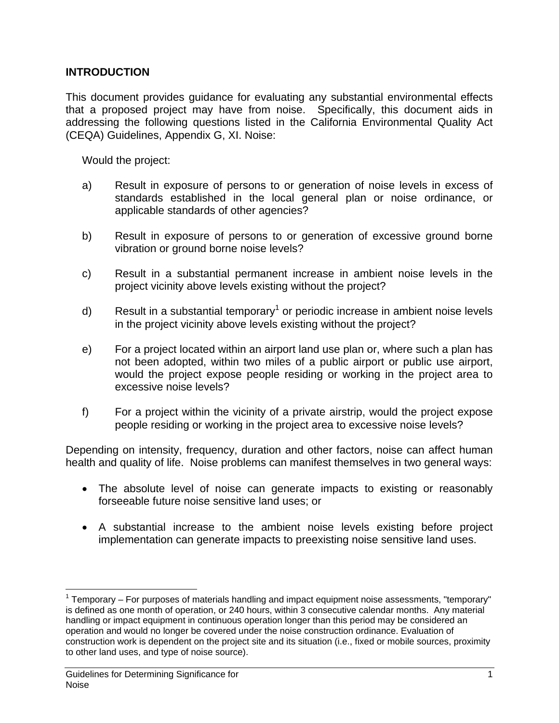#### **INTRODUCTION**

This document provides guidance for evaluating any substantial environmental effects that a proposed project may have from noise. Specifically, this document aids in addressing the following questions listed in the California Environmental Quality Act (CEQA) Guidelines, Appendix G, XI. Noise:

Would the project:

- a) Result in exposure of persons to or generation of noise levels in excess of standards established in the local general plan or noise ordinance, or applicable standards of other agencies?
- b) Result in exposure of persons to or generation of excessive ground borne vibration or ground borne noise levels?
- c) Result in a substantial permanent increase in ambient noise levels in the project vicinity above levels existing without the project?
- d) Result in a substantial temporary<sup>1</sup> or periodic increase in ambient noise levels in the project vicinity above levels existing without the project?
- e) For a project located within an airport land use plan or, where such a plan has not been adopted, within two miles of a public airport or public use airport, would the project expose people residing or working in the project area to excessive noise levels?
- f) For a project within the vicinity of a private airstrip, would the project expose people residing or working in the project area to excessive noise levels?

Depending on intensity, frequency, duration and other factors, noise can affect human health and quality of life. Noise problems can manifest themselves in two general ways:

- The absolute level of noise can generate impacts to existing or reasonably forseeable future noise sensitive land uses; or
- A substantial increase to the ambient noise levels existing before project implementation can generate impacts to preexisting noise sensitive land uses.

<sup>1</sup>  $1$  Temporary – For purposes of materials handling and impact equipment noise assessments, "temporary" is defined as one month of operation, or 240 hours, within 3 consecutive calendar months. Any material handling or impact equipment in continuous operation longer than this period may be considered an operation and would no longer be covered under the noise construction ordinance. Evaluation of construction work is dependent on the project site and its situation (i.e., fixed or mobile sources, proximity to other land uses, and type of noise source).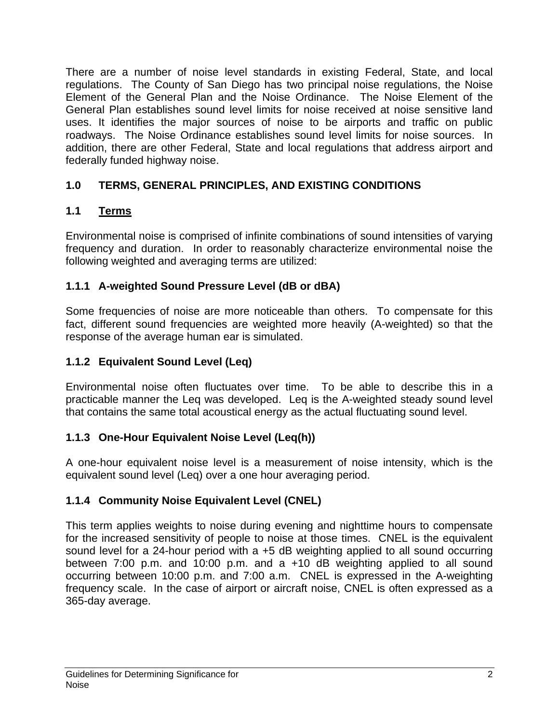There are a number of noise level standards in existing Federal, State, and local regulations. The County of San Diego has two principal noise regulations, the Noise Element of the General Plan and the Noise Ordinance. The Noise Element of the General Plan establishes sound level limits for noise received at noise sensitive land uses. It identifies the major sources of noise to be airports and traffic on public roadways. The Noise Ordinance establishes sound level limits for noise sources. In addition, there are other Federal, State and local regulations that address airport and federally funded highway noise.

# **1.0 TERMS, GENERAL PRINCIPLES, AND EXISTING CONDITIONS**

# **1.1 Terms**

Environmental noise is comprised of infinite combinations of sound intensities of varying frequency and duration. In order to reasonably characterize environmental noise the following weighted and averaging terms are utilized:

# **1.1.1 A-weighted Sound Pressure Level (dB or dBA)**

Some frequencies of noise are more noticeable than others. To compensate for this fact, different sound frequencies are weighted more heavily (A-weighted) so that the response of the average human ear is simulated.

# **1.1.2 Equivalent Sound Level (Leq)**

Environmental noise often fluctuates over time. To be able to describe this in a practicable manner the Leq was developed. Leq is the A-weighted steady sound level that contains the same total acoustical energy as the actual fluctuating sound level.

## **1.1.3 One-Hour Equivalent Noise Level (Leq(h))**

A one-hour equivalent noise level is a measurement of noise intensity, which is the equivalent sound level (Leq) over a one hour averaging period.

## **1.1.4 Community Noise Equivalent Level (CNEL)**

This term applies weights to noise during evening and nighttime hours to compensate for the increased sensitivity of people to noise at those times. CNEL is the equivalent sound level for a 24-hour period with a +5 dB weighting applied to all sound occurring between 7:00 p.m. and 10:00 p.m. and a +10 dB weighting applied to all sound occurring between 10:00 p.m. and 7:00 a.m. CNEL is expressed in the A-weighting frequency scale. In the case of airport or aircraft noise, CNEL is often expressed as a 365-day average.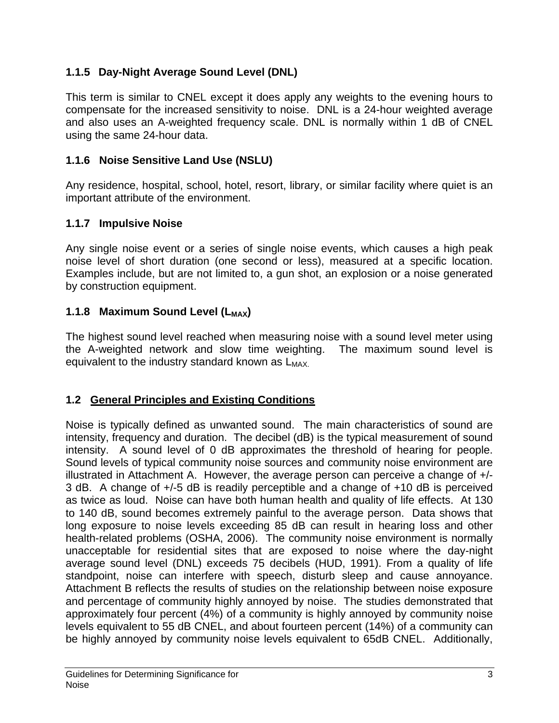# **1.1.5 Day-Night Average Sound Level (DNL)**

This term is similar to CNEL except it does apply any weights to the evening hours to compensate for the increased sensitivity to noise. DNL is a 24-hour weighted average and also uses an A-weighted frequency scale. DNL is normally within 1 dB of CNEL using the same 24-hour data.

# **1.1.6 Noise Sensitive Land Use (NSLU)**

Any residence, hospital, school, hotel, resort, library, or similar facility where quiet is an important attribute of the environment.

## **1.1.7 Impulsive Noise**

Any single noise event or a series of single noise events, which causes a high peak noise level of short duration (one second or less), measured at a specific location. Examples include, but are not limited to, a gun shot, an explosion or a noise generated by construction equipment.

## **1.1.8 Maximum Sound Level (L<sub>MAX</sub>)**

The highest sound level reached when measuring noise with a sound level meter using the A-weighted network and slow time weighting. The maximum sound level is equivalent to the industry standard known as  $L_{MAX}$ .

## **1.2 General Principles and Existing Conditions**

Noise is typically defined as unwanted sound. The main characteristics of sound are intensity, frequency and duration. The decibel (dB) is the typical measurement of sound intensity. A sound level of 0 dB approximates the threshold of hearing for people. Sound levels of typical community noise sources and community noise environment are illustrated in Attachment A. However, the average person can perceive a change of +/- 3 dB. A change of +/-5 dB is readily perceptible and a change of +10 dB is perceived as twice as loud. Noise can have both human health and quality of life effects. At 130 to 140 dB, sound becomes extremely painful to the average person. Data shows that long exposure to noise levels exceeding 85 dB can result in hearing loss and other health-related problems (OSHA, 2006). The community noise environment is normally unacceptable for residential sites that are exposed to noise where the day-night average sound level (DNL) exceeds 75 decibels (HUD, 1991). From a quality of life standpoint, noise can interfere with speech, disturb sleep and cause annoyance. Attachment B reflects the results of studies on the relationship between noise exposure and percentage of community highly annoyed by noise. The studies demonstrated that approximately four percent (4%) of a community is highly annoyed by community noise levels equivalent to 55 dB CNEL, and about fourteen percent (14%) of a community can be highly annoyed by community noise levels equivalent to 65dB CNEL. Additionally,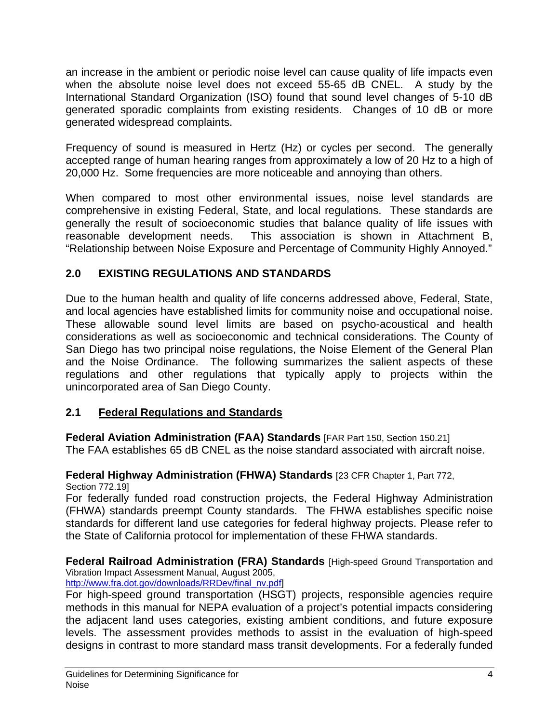an increase in the ambient or periodic noise level can cause quality of life impacts even when the absolute noise level does not exceed 55-65 dB CNEL. A study by the International Standard Organization (ISO) found that sound level changes of 5-10 dB generated sporadic complaints from existing residents. Changes of 10 dB or more generated widespread complaints.

Frequency of sound is measured in Hertz (Hz) or cycles per second. The generally accepted range of human hearing ranges from approximately a low of 20 Hz to a high of 20,000 Hz. Some frequencies are more noticeable and annoying than others.

When compared to most other environmental issues, noise level standards are comprehensive in existing Federal, State, and local regulations. These standards are generally the result of socioeconomic studies that balance quality of life issues with reasonable development needs. This association is shown in Attachment B, "Relationship between Noise Exposure and Percentage of Community Highly Annoyed."

# **2.0 EXISTING REGULATIONS AND STANDARDS**

Due to the human health and quality of life concerns addressed above, Federal, State, and local agencies have established limits for community noise and occupational noise. These allowable sound level limits are based on psycho-acoustical and health considerations as well as socioeconomic and technical considerations. The County of San Diego has two principal noise regulations, the Noise Element of the General Plan and the Noise Ordinance. The following summarizes the salient aspects of these regulations and other regulations that typically apply to projects within the unincorporated area of San Diego County.

## **2.1 Federal Regulations and Standards**

**Federal Aviation Administration (FAA) Standards** [FAR Part 150, Section 150.21] The FAA establishes 65 dB CNEL as the noise standard associated with aircraft noise.

#### **Federal Highway Administration (FHWA) Standards** [23 CFR Chapter 1, Part 772, Section 772.19]

For federally funded road construction projects, the Federal Highway Administration (FHWA) standards preempt County standards. The FHWA establishes specific noise standards for different land use categories for federal highway projects. Please refer to the State of California protocol for implementation of these FHWA standards.

**Federal Railroad Administration (FRA) Standards** [High-speed Ground Transportation and Vibration Impact Assessment Manual, August 2005,

http://www.fra.dot.gov/downloads/RRDev/final\_nv.pdf]

For high-speed ground transportation (HSGT) projects, responsible agencies require methods in this manual for NEPA evaluation of a project's potential impacts considering the adjacent land uses categories, existing ambient conditions, and future exposure levels. The assessment provides methods to assist in the evaluation of high-speed designs in contrast to more standard mass transit developments. For a federally funded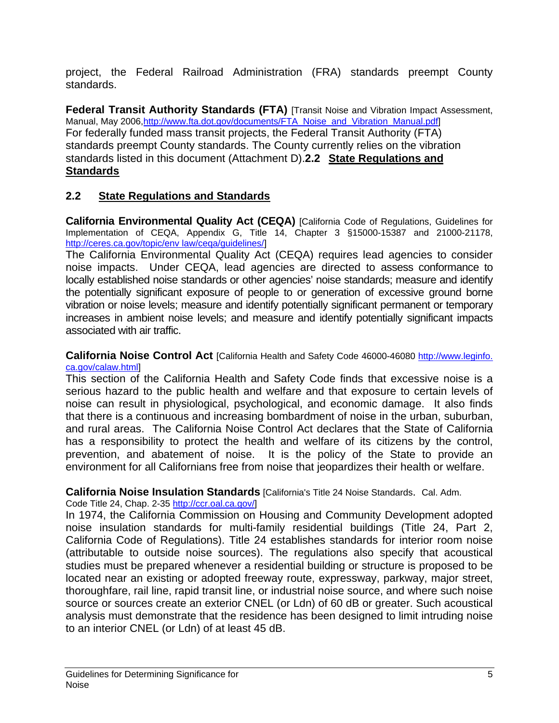project, the Federal Railroad Administration (FRA) standards preempt County standards.

**Federal Transit Authority Standards (FTA) [Transit Noise and Vibration Impact Assessment,** Manual, May 2006,http://www.fta.dot.gov/documents/FTA\_Noise\_and\_Vibration\_Manual.pdf] For federally funded mass transit projects, the Federal Transit Authority (FTA) standards preempt County standards. The County currently relies on the vibration standards listed in this document (Attachment D).**2.2 State Regulations and Standards**

## **2.2 State Regulations and Standards**

**California Environmental Quality Act (CEQA)** [California Code of Regulations, Guidelines for Implementation of CEQA, Appendix G, Title 14, Chapter 3 §15000-15387 and 21000-21178, http://ceres.ca.gov/topic/env law/ceqa/guidelines/]

The California Environmental Quality Act (CEQA) requires lead agencies to consider noise impacts. Under CEQA, lead agencies are directed to assess conformance to locally established noise standards or other agencies' noise standards; measure and identify the potentially significant exposure of people to or generation of excessive ground borne vibration or noise levels; measure and identify potentially significant permanent or temporary increases in ambient noise levels; and measure and identify potentially significant impacts associated with air traffic.

**California Noise Control Act** [California Health and Safety Code 46000-46080 http://www.leginfo. ca.gov/calaw.html]

This section of the California Health and Safety Code finds that excessive noise is a serious hazard to the public health and welfare and that exposure to certain levels of noise can result in physiological, psychological, and economic damage. It also finds that there is a continuous and increasing bombardment of noise in the urban, suburban, and rural areas. The California Noise Control Act declares that the State of California has a responsibility to protect the health and welfare of its citizens by the control, prevention, and abatement of noise. It is the policy of the State to provide an environment for all Californians free from noise that jeopardizes their health or welfare.

#### **California Noise Insulation Standards** [California's Title 24 Noise Standards. Cal. Adm.

Code Title 24, Chap. 2-35 http://ccr.oal.ca.gov/l

In 1974, the California Commission on Housing and Community Development adopted noise insulation standards for multi-family residential buildings (Title 24, Part 2, California Code of Regulations). Title 24 establishes standards for interior room noise (attributable to outside noise sources). The regulations also specify that acoustical studies must be prepared whenever a residential building or structure is proposed to be located near an existing or adopted freeway route, expressway, parkway, major street, thoroughfare, rail line, rapid transit line, or industrial noise source, and where such noise source or sources create an exterior CNEL (or Ldn) of 60 dB or greater. Such acoustical analysis must demonstrate that the residence has been designed to limit intruding noise to an interior CNEL (or Ldn) of at least 45 dB.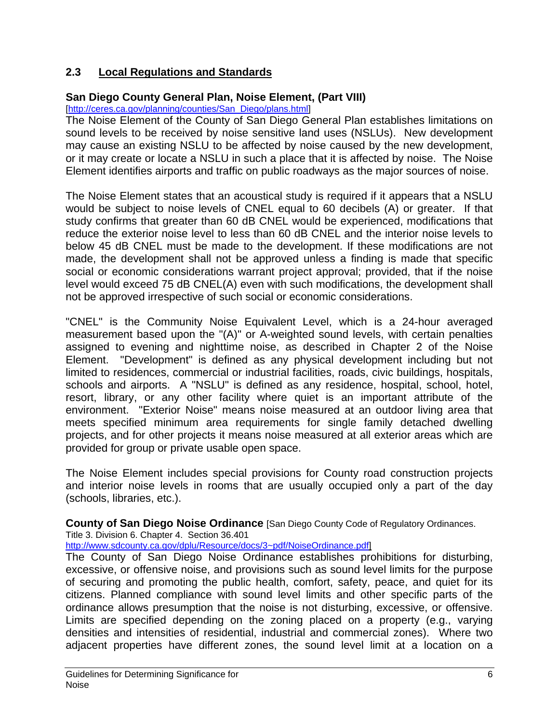# **2.3 Local Regulations and Standards**

## **San Diego County General Plan, Noise Element, (Part VIII)**

[http://ceres.ca.gov/planning/counties/San\_Diego/plans.html]

The Noise Element of the County of San Diego General Plan establishes limitations on sound levels to be received by noise sensitive land uses (NSLUs). New development may cause an existing NSLU to be affected by noise caused by the new development, or it may create or locate a NSLU in such a place that it is affected by noise. The Noise Element identifies airports and traffic on public roadways as the major sources of noise.

The Noise Element states that an acoustical study is required if it appears that a NSLU would be subject to noise levels of CNEL equal to 60 decibels (A) or greater. If that study confirms that greater than 60 dB CNEL would be experienced, modifications that reduce the exterior noise level to less than 60 dB CNEL and the interior noise levels to below 45 dB CNEL must be made to the development. If these modifications are not made, the development shall not be approved unless a finding is made that specific social or economic considerations warrant project approval; provided, that if the noise level would exceed 75 dB CNEL(A) even with such modifications, the development shall not be approved irrespective of such social or economic considerations.

"CNEL" is the Community Noise Equivalent Level, which is a 24-hour averaged measurement based upon the "(A)" or A-weighted sound levels, with certain penalties assigned to evening and nighttime noise, as described in Chapter 2 of the Noise Element. "Development" is defined as any physical development including but not limited to residences, commercial or industrial facilities, roads, civic buildings, hospitals, schools and airports. A "NSLU" is defined as any residence, hospital, school, hotel, resort, library, or any other facility where quiet is an important attribute of the environment. "Exterior Noise" means noise measured at an outdoor living area that meets specified minimum area requirements for single family detached dwelling projects, and for other projects it means noise measured at all exterior areas which are provided for group or private usable open space.

The Noise Element includes special provisions for County road construction projects and interior noise levels in rooms that are usually occupied only a part of the day (schools, libraries, etc.).

**County of San Diego Noise Ordinance** [San Diego County Code of Regulatory Ordinances.

Title 3. Division 6. Chapter 4. Section 36.401

http://www.sdcounty.ca.gov/dplu/Resource/docs/3~pdf/NoiseOrdinance.pdf]

The County of San Diego Noise Ordinance establishes prohibitions for disturbing, excessive, or offensive noise, and provisions such as sound level limits for the purpose of securing and promoting the public health, comfort, safety, peace, and quiet for its citizens. Planned compliance with sound level limits and other specific parts of the ordinance allows presumption that the noise is not disturbing, excessive, or offensive. Limits are specified depending on the zoning placed on a property (e.g., varying densities and intensities of residential, industrial and commercial zones). Where two adjacent properties have different zones, the sound level limit at a location on a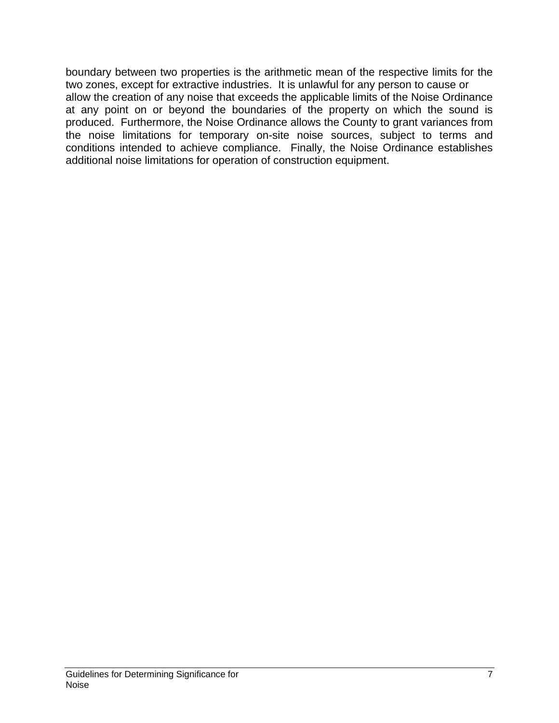boundary between two properties is the arithmetic mean of the respective limits for the two zones, except for extractive industries. It is unlawful for any person to cause or allow the creation of any noise that exceeds the applicable limits of the Noise Ordinance at any point on or beyond the boundaries of the property on which the sound is produced. Furthermore, the Noise Ordinance allows the County to grant variances from the noise limitations for temporary on-site noise sources, subject to terms and conditions intended to achieve compliance. Finally, the Noise Ordinance establishes additional noise limitations for operation of construction equipment.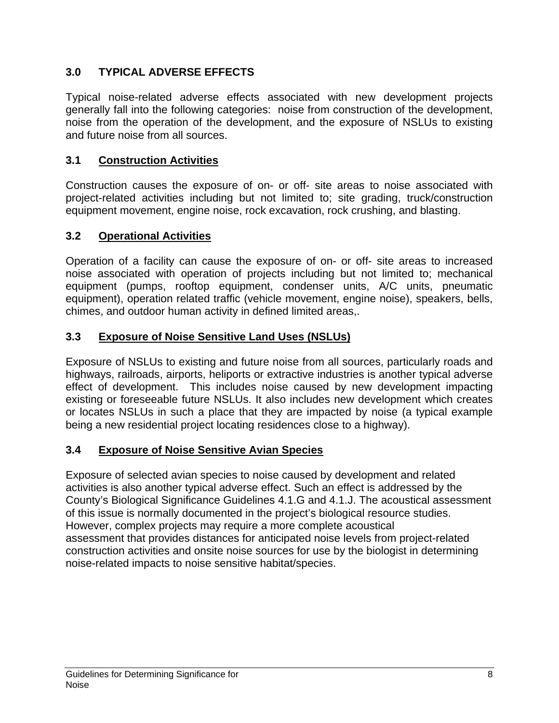# **3.0 TYPICAL ADVERSE EFFECTS**

Typical noise-related adverse effects associated with new development projects generally fall into the following categories: noise from construction of the development, noise from the operation of the development, and the exposure of NSLUs to existing and future noise from all sources.

# **3.1 Construction Activities**

Construction causes the exposure of on- or off- site areas to noise associated with project-related activities including but not limited to; site grading, truck/construction equipment movement, engine noise, rock excavation, rock crushing, and blasting.

## **3.2 Operational Activities**

Operation of a facility can cause the exposure of on- or off- site areas to increased noise associated with operation of projects including but not limited to; mechanical equipment (pumps, rooftop equipment, condenser units, A/C units, pneumatic equipment), operation related traffic (vehicle movement, engine noise), speakers, bells, chimes, and outdoor human activity in defined limited areas,.

# **3.3 Exposure of Noise Sensitive Land Uses (NSLUs)**

Exposure of NSLUs to existing and future noise from all sources, particularly roads and highways, railroads, airports, heliports or extractive industries is another typical adverse effect of development. This includes noise caused by new development impacting existing or foreseeable future NSLUs. It also includes new development which creates or locates NSLUs in such a place that they are impacted by noise (a typical example being a new residential project locating residences close to a highway).

# **3.4 Exposure of Noise Sensitive Avian Species**

Exposure of selected avian species to noise caused by development and related activities is also another typical adverse effect. Such an effect is addressed by the County's Biological Significance Guidelines 4.1.G and 4.1.J. The acoustical assessment of this issue is normally documented in the project's biological resource studies. However, complex projects may require a more complete acoustical assessment that provides distances for anticipated noise levels from project-related construction activities and onsite noise sources for use by the biologist in determining noise-related impacts to noise sensitive habitat/species.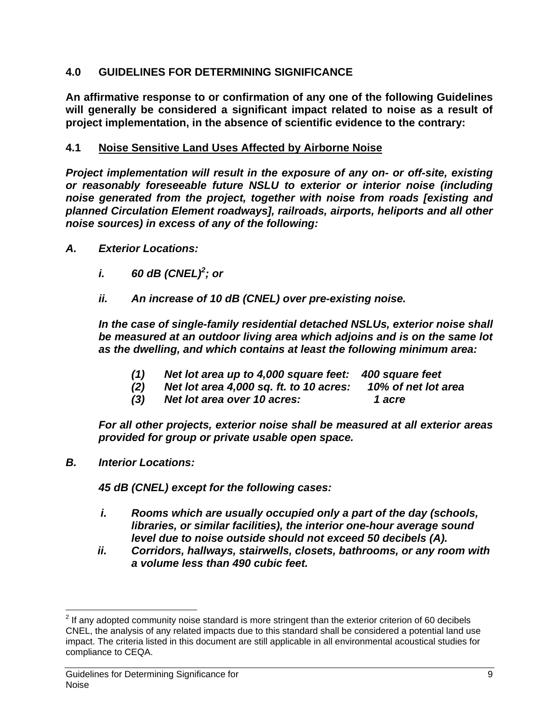#### **4.0 GUIDELINES FOR DETERMINING SIGNIFICANCE**

**An affirmative response to or confirmation of any one of the following Guidelines will generally be considered a significant impact related to noise as a result of project implementation, in the absence of scientific evidence to the contrary:** 

#### **4.1 Noise Sensitive Land Uses Affected by Airborne Noise**

*Project implementation will result in the exposure of any on- or off-site, existing or reasonably foreseeable future NSLU to exterior or interior noise (including noise generated from the project, together with noise from roads [existing and planned Circulation Element roadways], railroads, airports, heliports and all other noise sources) in excess of any of the following:* 

- *A. Exterior Locations:* 
	- *i.* 60 dB (CNEL)<sup>2</sup>; or
	- *ii. An increase of 10 dB (CNEL) over pre-existing noise.*

*In the case of single-family residential detached NSLUs, exterior noise shall be measured at an outdoor living area which adjoins and is on the same lot as the dwelling, and which contains at least the following minimum area:* 

- *(1) Net lot area up to 4,000 square feet: 400 square feet*
- *(2) Net lot area 4,000 sq. ft. to 10 acres: 10% of net lot area*
- *(3) Net lot area over 10 acres: 1 acre*

*For all other projects, exterior noise shall be measured at all exterior areas provided for group or private usable open space.* 

*B. Interior Locations:* 

*45 dB (CNEL) except for the following cases:* 

- *i. Rooms which are usually occupied only a part of the day (schools, libraries, or similar facilities), the interior one-hour average sound level due to noise outside should not exceed 50 decibels (A).*
- *ii. Corridors, hallways, stairwells, closets, bathrooms, or any room with a volume less than 490 cubic feet.*

 $\overline{a}$  $2$  If any adopted community noise standard is more stringent than the exterior criterion of 60 decibels CNEL, the analysis of any related impacts due to this standard shall be considered a potential land use impact. The criteria listed in this document are still applicable in all environmental acoustical studies for compliance to CEQA.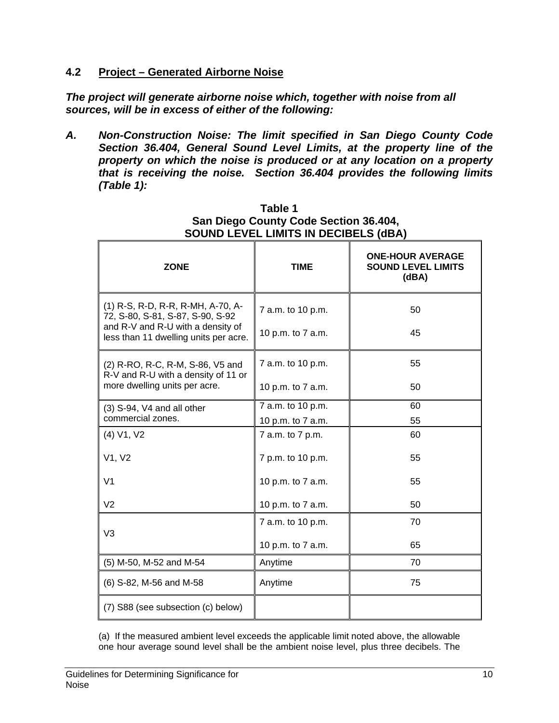#### **4.2 Project – Generated Airborne Noise**

*The project will generate airborne noise which, together with noise from all sources, will be in excess of either of the following:* 

*A. Non-Construction Noise: The limit specified in San Diego County Code Section 36.404, General Sound Level Limits, at the property line of the property on which the noise is produced or at any location on a property that is receiving the noise. Section 36.404 provides the following limits (Table 1):* 

| <b>ZONE</b>                                                                                                                                         | <b>TIME</b>                            | <b>ONE-HOUR AVERAGE</b><br><b>SOUND LEVEL LIMITS</b><br>(dBA) |
|-----------------------------------------------------------------------------------------------------------------------------------------------------|----------------------------------------|---------------------------------------------------------------|
| (1) R-S, R-D, R-R, R-MH, A-70, A-<br>72, S-80, S-81, S-87, S-90, S-92<br>and R-V and R-U with a density of<br>less than 11 dwelling units per acre. | 7 a.m. to 10 p.m.<br>10 p.m. to 7 a.m. | 50<br>45                                                      |
| (2) R-RO, R-C, R-M, S-86, V5 and<br>R-V and R-U with a density of 11 or<br>more dwelling units per acre.                                            | 7 a.m. to 10 p.m.<br>10 p.m. to 7 a.m. | 55<br>50                                                      |
| $(3)$ S-94, V4 and all other<br>commercial zones.                                                                                                   | 7 a.m. to 10 p.m.<br>10 p.m. to 7 a.m. | 60<br>55                                                      |
| (4) V1, V2                                                                                                                                          | 7 a.m. to 7 p.m.                       | 60                                                            |
| V1, V2                                                                                                                                              | 7 p.m. to 10 p.m.                      | 55                                                            |
| V <sub>1</sub>                                                                                                                                      | 10 p.m. to 7 a.m.                      | 55                                                            |
| V <sub>2</sub>                                                                                                                                      | 10 p.m. to 7 a.m.                      | 50                                                            |
| V3                                                                                                                                                  | 7 a.m. to 10 p.m.                      | 70                                                            |
|                                                                                                                                                     | 10 p.m. to 7 a.m.                      | 65                                                            |
| (5) M-50, M-52 and M-54                                                                                                                             | Anytime                                | 70                                                            |
| (6) S-82, M-56 and M-58                                                                                                                             | Anytime                                | 75                                                            |
| (7) S88 (see subsection (c) below)                                                                                                                  |                                        |                                                               |

#### **Table 1 San Diego County Code Section 36.404, SOUND LEVEL LIMITS IN DECIBELS (dBA)**

(a) If the measured ambient level exceeds the applicable limit noted above, the allowable one hour average sound level shall be the ambient noise level, plus three decibels. The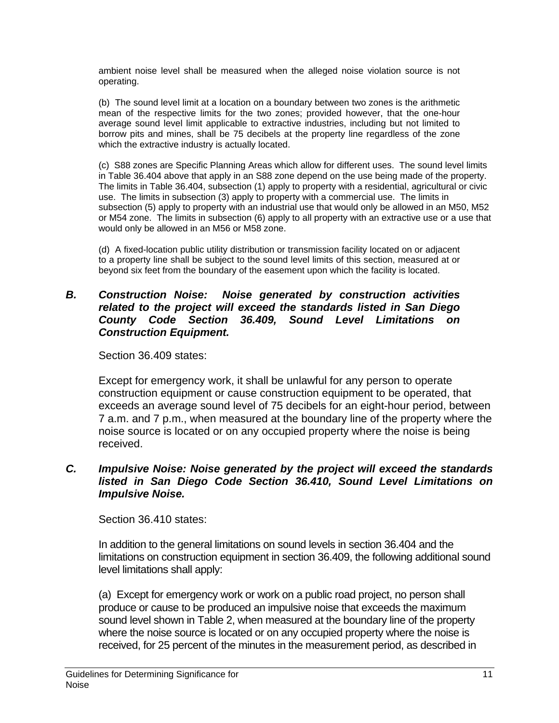ambient noise level shall be measured when the alleged noise violation source is not operating.

(b) The sound level limit at a location on a boundary between two zones is the arithmetic mean of the respective limits for the two zones; provided however, that the one-hour average sound level limit applicable to extractive industries, including but not limited to borrow pits and mines, shall be 75 decibels at the property line regardless of the zone which the extractive industry is actually located.

(c) S88 zones are Specific Planning Areas which allow for different uses. The sound level limits in Table 36.404 above that apply in an S88 zone depend on the use being made of the property. The limits in Table 36.404, subsection (1) apply to property with a residential, agricultural or civic use. The limits in subsection (3) apply to property with a commercial use. The limits in subsection (5) apply to property with an industrial use that would only be allowed in an M50, M52 or M54 zone. The limits in subsection (6) apply to all property with an extractive use or a use that would only be allowed in an M56 or M58 zone.

(d) A fixed-location public utility distribution or transmission facility located on or adjacent to a property line shall be subject to the sound level limits of this section, measured at or beyond six feet from the boundary of the easement upon which the facility is located.

#### *B. Construction Noise: Noise generated by construction activities related to the project will exceed the standards listed in San Diego County Code Section 36.409, Sound Level Limitations on Construction Equipment.*

Section 36.409 states:

Except for emergency work, it shall be unlawful for any person to operate construction equipment or cause construction equipment to be operated, that exceeds an average sound level of 75 decibels for an eight-hour period, between 7 a.m. and 7 p.m., when measured at the boundary line of the property where the noise source is located or on any occupied property where the noise is being received.

#### *C. Impulsive Noise: Noise generated by the project will exceed the standards listed in San Diego Code Section 36.410, Sound Level Limitations on Impulsive Noise.*

Section 36.410 states:

In addition to the general limitations on sound levels in section 36.404 and the limitations on construction equipment in section 36.409, the following additional sound level limitations shall apply:

(a) Except for emergency work or work on a public road project, no person shall produce or cause to be produced an impulsive noise that exceeds the maximum sound level shown in Table 2, when measured at the boundary line of the property where the noise source is located or on any occupied property where the noise is received, for 25 percent of the minutes in the measurement period, as described in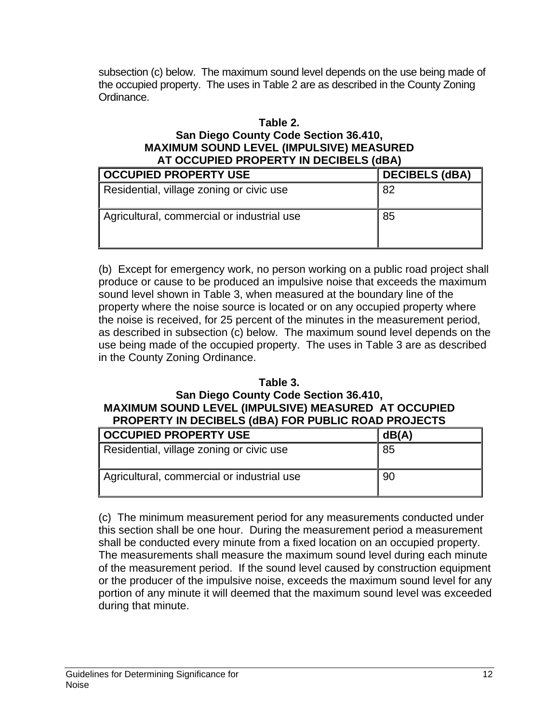subsection (c) below. The maximum sound level depends on the use being made of the occupied property. The uses in Table 2 are as described in the County Zoning Ordinance.

#### **Table 2.**

#### **San Diego County Code Section 36.410, MAXIMUM SOUND LEVEL (IMPULSIVE) MEASURED AT OCCUPIED PROPERTY IN DECIBELS (dBA)**

| <b>OCCUPIED PROPERTY USE</b>               | <b>DECIBELS (dBA)</b> |
|--------------------------------------------|-----------------------|
| Residential, village zoning or civic use   | 82                    |
| Agricultural, commercial or industrial use | 85                    |

(b) Except for emergency work, no person working on a public road project shall produce or cause to be produced an impulsive noise that exceeds the maximum sound level shown in Table 3, when measured at the boundary line of the property where the noise source is located or on any occupied property where the noise is received, for 25 percent of the minutes in the measurement period, as described in subsection (c) below. The maximum sound level depends on the use being made of the occupied property. The uses in Table 3 are as described in the County Zoning Ordinance.

#### **Table 3.**

## **San Diego County Code Section 36.410, MAXIMUM SOUND LEVEL (IMPULSIVE) MEASURED AT OCCUPIED PROPERTY IN DECIBELS (dBA) FOR PUBLIC ROAD PROJECTS**

| <b>OCCUPIED PROPERTY USE</b>               | dB(A) |
|--------------------------------------------|-------|
| Residential, village zoning or civic use   | 85    |
| Agricultural, commercial or industrial use | 90    |

(c) The minimum measurement period for any measurements conducted under this section shall be one hour. During the measurement period a measurement shall be conducted every minute from a fixed location on an occupied property. The measurements shall measure the maximum sound level during each minute of the measurement period. If the sound level caused by construction equipment or the producer of the impulsive noise, exceeds the maximum sound level for any portion of any minute it will deemed that the maximum sound level was exceeded during that minute.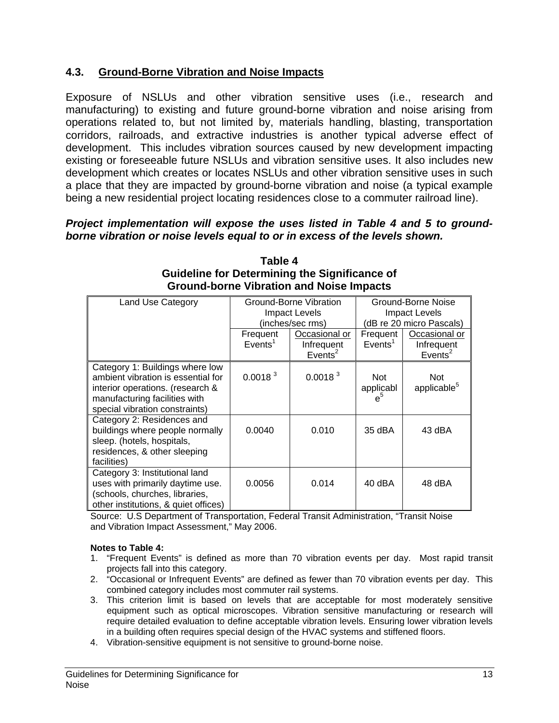#### **4.3. Ground-Borne Vibration and Noise Impacts**

Exposure of NSLUs and other vibration sensitive uses (i.e., research and manufacturing) to existing and future ground-borne vibration and noise arising from operations related to, but not limited by, materials handling, blasting, transportation corridors, railroads, and extractive industries is another typical adverse effect of development. This includes vibration sources caused by new development impacting existing or foreseeable future NSLUs and vibration sensitive uses. It also includes new development which creates or locates NSLUs and other vibration sensitive uses in such a place that they are impacted by ground-borne vibration and noise (a typical example being a new residential project locating residences close to a commuter railroad line).

#### *Project implementation will expose the uses listed in Table 4 and 5 to groundborne vibration or noise levels equal to or in excess of the levels shown.*

| Land Use Category                                                                                                                                                            | Ground-Borne Vibration<br><b>Impact Levels</b><br>(inches/sec rms) |                                                    | Ground-Borne Noise<br>Impact Levels<br>(dB re 20 micro Pascals) |                                                    |
|------------------------------------------------------------------------------------------------------------------------------------------------------------------------------|--------------------------------------------------------------------|----------------------------------------------------|-----------------------------------------------------------------|----------------------------------------------------|
|                                                                                                                                                                              | Frequent<br>Events <sup>1</sup>                                    | Occasional or<br>Infrequent<br>Events <sup>2</sup> | Frequent<br>Events <sup>1</sup>                                 | Occasional or<br>Infrequent<br>Events <sup>2</sup> |
| Category 1: Buildings where low<br>ambient vibration is essential for<br>interior operations. (research &<br>manufacturing facilities with<br>special vibration constraints) | 0.0018 <sup>3</sup>                                                | 0.0018 <sup>3</sup>                                | <b>Not</b><br>applicabl<br>$e^5$                                | Not<br>applicable <sup>5</sup>                     |
| Category 2: Residences and<br>buildings where people normally<br>sleep. (hotels, hospitals,<br>residences, & other sleeping<br>facilities)                                   | 0.0040                                                             | 0.010                                              | 35 dBA                                                          | 43 dBA                                             |
| Category 3: Institutional land<br>uses with primarily daytime use.<br>(schools, churches, libraries,<br>other institutions, & quiet offices)                                 | 0.0056                                                             | 0.014                                              | 40 dBA                                                          | 48 dBA                                             |

#### **Table 4 Guideline for Determining the Significance of Ground-borne Vibration and Noise Impacts**

Source: U.S Department of Transportation, Federal Transit Administration, "Transit Noise and Vibration Impact Assessment," May 2006.

#### **Notes to Table 4:**

- 1. "Frequent Events" is defined as more than 70 vibration events per day. Most rapid transit projects fall into this category.
- 2. "Occasional or Infrequent Events" are defined as fewer than 70 vibration events per day. This combined category includes most commuter rail systems.
- 3. This criterion limit is based on levels that are acceptable for most moderately sensitive equipment such as optical microscopes. Vibration sensitive manufacturing or research will require detailed evaluation to define acceptable vibration levels. Ensuring lower vibration levels in a building often requires special design of the HVAC systems and stiffened floors.
- 4. Vibration-sensitive equipment is not sensitive to ground-borne noise.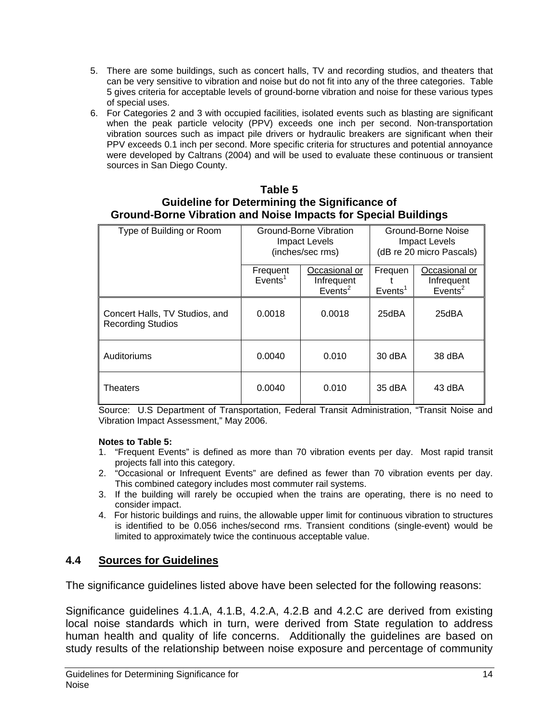- 5. There are some buildings, such as concert halls, TV and recording studios, and theaters that can be very sensitive to vibration and noise but do not fit into any of the three categories. Table 5 gives criteria for acceptable levels of ground-borne vibration and noise for these various types of special uses.
- 6. For Categories 2 and 3 with occupied facilities, isolated events such as blasting are significant when the peak particle velocity (PPV) exceeds one inch per second. Non-transportation vibration sources such as impact pile drivers or hydraulic breakers are significant when their PPV exceeds 0.1 inch per second. More specific criteria for structures and potential annoyance were developed by Caltrans (2004) and will be used to evaluate these continuous or transient sources in San Diego County.

#### **Table 5 Guideline for Determining the Significance of Ground-Borne Vibration and Noise Impacts for Special Buildings**

| Type of Building or Room                                   | Ground-Borne Vibration<br>Impact Levels<br>(inches/sec rms) |                                                    | Ground-Borne Noise<br>Impact Levels<br>(dB re 20 micro Pascals) |                                                    |
|------------------------------------------------------------|-------------------------------------------------------------|----------------------------------------------------|-----------------------------------------------------------------|----------------------------------------------------|
|                                                            | Frequent<br>Events <sup>1</sup>                             | Occasional or<br>Infrequent<br>Events <sup>2</sup> | Frequen<br>Events <sup>1</sup>                                  | Occasional or<br>Infrequent<br>Events <sup>2</sup> |
| Concert Halls, TV Studios, and<br><b>Recording Studios</b> | 0.0018                                                      | 0.0018                                             | 25dBA                                                           | 25dBA                                              |
| Auditoriums                                                | 0.0040                                                      | 0.010                                              | 30 dBA                                                          | 38 dBA                                             |
| Theaters                                                   | 0.0040                                                      | 0.010                                              | 35 dBA                                                          | 43 dBA                                             |

Source: U.S Department of Transportation, Federal Transit Administration, "Transit Noise and Vibration Impact Assessment," May 2006.

#### **Notes to Table 5:**

- 1. "Frequent Events" is defined as more than 70 vibration events per day. Most rapid transit projects fall into this category.
- 2. "Occasional or Infrequent Events" are defined as fewer than 70 vibration events per day. This combined category includes most commuter rail systems.
- 3. If the building will rarely be occupied when the trains are operating, there is no need to consider impact.
- 4. For historic buildings and ruins, the allowable upper limit for continuous vibration to structures is identified to be 0.056 inches/second rms. Transient conditions (single-event) would be limited to approximately twice the continuous acceptable value.

#### **4.4 Sources for Guidelines**

The significance guidelines listed above have been selected for the following reasons:

Significance guidelines 4.1.A, 4.1.B, 4.2.A, 4.2.B and 4.2.C are derived from existing local noise standards which in turn, were derived from State regulation to address human health and quality of life concerns. Additionally the guidelines are based on study results of the relationship between noise exposure and percentage of community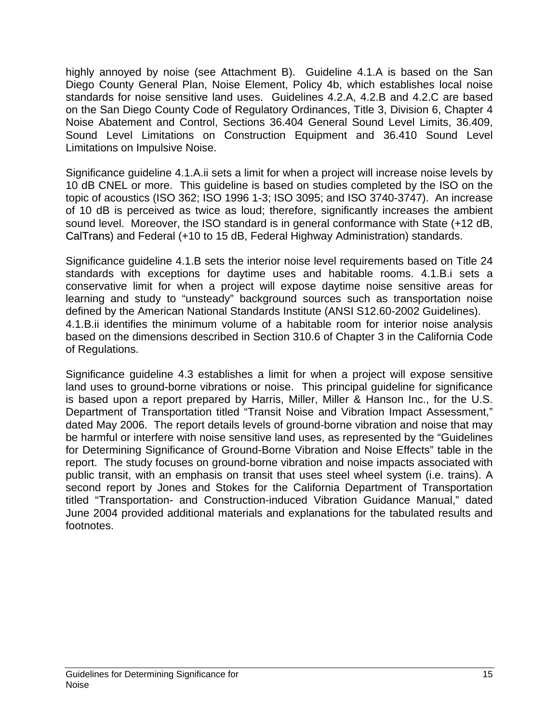highly annoyed by noise (see Attachment B). Guideline 4.1.A is based on the San Diego County General Plan, Noise Element, Policy 4b, which establishes local noise standards for noise sensitive land uses. Guidelines 4.2.A, 4.2.B and 4.2.C are based on the San Diego County Code of Regulatory Ordinances, Title 3, Division 6, Chapter 4 Noise Abatement and Control, Sections 36.404 General Sound Level Limits, 36.409, Sound Level Limitations on Construction Equipment and 36.410 Sound Level Limitations on Impulsive Noise.

Significance guideline 4.1.A.ii sets a limit for when a project will increase noise levels by 10 dB CNEL or more. This guideline is based on studies completed by the ISO on the topic of acoustics (ISO 362; ISO 1996 1-3; ISO 3095; and ISO 3740-3747). An increase of 10 dB is perceived as twice as loud; therefore, significantly increases the ambient sound level. Moreover, the ISO standard is in general conformance with State (+12 dB, CalTrans) and Federal (+10 to 15 dB, Federal Highway Administration) standards.

Significance guideline 4.1.B sets the interior noise level requirements based on Title 24 standards with exceptions for daytime uses and habitable rooms. 4.1.B.i sets a conservative limit for when a project will expose daytime noise sensitive areas for learning and study to "unsteady" background sources such as transportation noise defined by the American National Standards Institute (ANSI S12.60-2002 Guidelines). 4.1.B.ii identifies the minimum volume of a habitable room for interior noise analysis based on the dimensions described in Section 310.6 of Chapter 3 in the California Code of Regulations.

Significance guideline 4.3 establishes a limit for when a project will expose sensitive land uses to ground-borne vibrations or noise. This principal guideline for significance is based upon a report prepared by Harris, Miller, Miller & Hanson Inc., for the U.S. Department of Transportation titled "Transit Noise and Vibration Impact Assessment," dated May 2006. The report details levels of ground-borne vibration and noise that may be harmful or interfere with noise sensitive land uses, as represented by the "Guidelines for Determining Significance of Ground-Borne Vibration and Noise Effects" table in the report. The study focuses on ground-borne vibration and noise impacts associated with public transit, with an emphasis on transit that uses steel wheel system (i.e. trains). A second report by Jones and Stokes for the California Department of Transportation titled "Transportation- and Construction-induced Vibration Guidance Manual," dated June 2004 provided additional materials and explanations for the tabulated results and footnotes.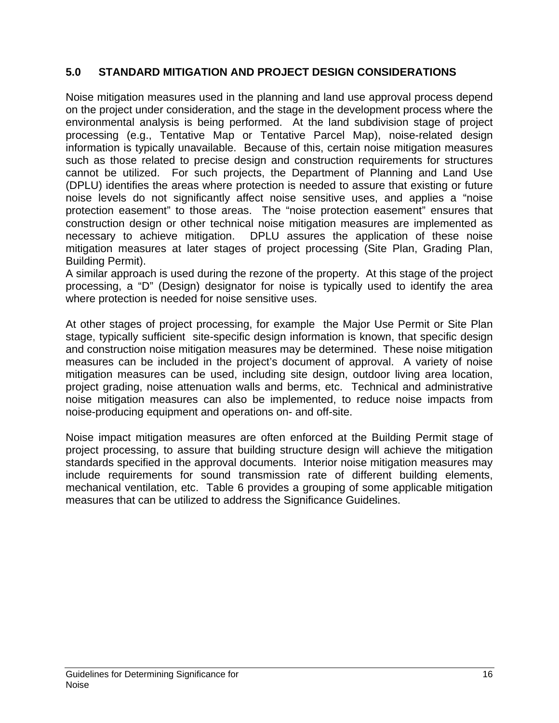#### **5.0 STANDARD MITIGATION AND PROJECT DESIGN CONSIDERATIONS**

Noise mitigation measures used in the planning and land use approval process depend on the project under consideration, and the stage in the development process where the environmental analysis is being performed. At the land subdivision stage of project processing (e.g., Tentative Map or Tentative Parcel Map), noise-related design information is typically unavailable. Because of this, certain noise mitigation measures such as those related to precise design and construction requirements for structures cannot be utilized. For such projects, the Department of Planning and Land Use (DPLU) identifies the areas where protection is needed to assure that existing or future noise levels do not significantly affect noise sensitive uses, and applies a "noise protection easement" to those areas. The "noise protection easement" ensures that construction design or other technical noise mitigation measures are implemented as necessary to achieve mitigation. DPLU assures the application of these noise mitigation measures at later stages of project processing (Site Plan, Grading Plan, Building Permit).

A similar approach is used during the rezone of the property. At this stage of the project processing, a "D" (Design) designator for noise is typically used to identify the area where protection is needed for noise sensitive uses.

At other stages of project processing, for example the Major Use Permit or Site Plan stage, typically sufficient site-specific design information is known, that specific design and construction noise mitigation measures may be determined. These noise mitigation measures can be included in the project's document of approval. A variety of noise mitigation measures can be used, including site design, outdoor living area location, project grading, noise attenuation walls and berms, etc. Technical and administrative noise mitigation measures can also be implemented, to reduce noise impacts from noise-producing equipment and operations on- and off-site.

Noise impact mitigation measures are often enforced at the Building Permit stage of project processing, to assure that building structure design will achieve the mitigation standards specified in the approval documents. Interior noise mitigation measures may include requirements for sound transmission rate of different building elements, mechanical ventilation, etc. Table 6 provides a grouping of some applicable mitigation measures that can be utilized to address the Significance Guidelines.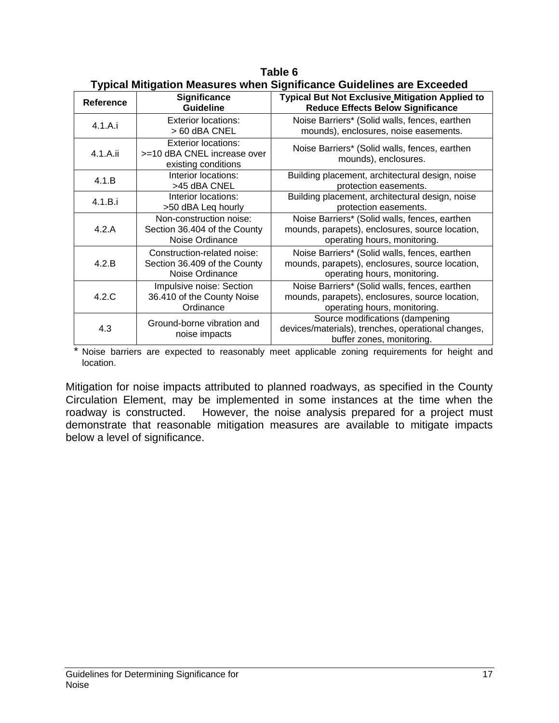| <b>Reference</b> | Significance<br><b>Guideline</b>                                                 | ו אויסטו ווווואַטווטוו וווסטסטרסט ווווסור טואַוווווסטווטט טטוטטווווסט טרט באטטטעט<br><b>Typical But Not Exclusive Mitigation Applied to</b><br><b>Reduce Effects Below Significance</b> |
|------------------|----------------------------------------------------------------------------------|-----------------------------------------------------------------------------------------------------------------------------------------------------------------------------------------|
| 4.1.A.i          | <b>Exterior locations:</b><br>> 60 dBA CNEL                                      | Noise Barriers* (Solid walls, fences, earthen<br>mounds), enclosures, noise easements.                                                                                                  |
| 4.1.A.ii         | <b>Exterior locations:</b><br>>=10 dBA CNEL increase over<br>existing conditions | Noise Barriers* (Solid walls, fences, earthen<br>mounds), enclosures.                                                                                                                   |
| 4.1.B            | Interior locations:<br>>45 dBA CNEL                                              | Building placement, architectural design, noise<br>protection easements.                                                                                                                |
| 4.1.B.i          | Interior locations:<br>>50 dBA Leq hourly                                        | Building placement, architectural design, noise<br>protection easements.                                                                                                                |
| 4.2.A            | Non-construction noise:<br>Section 36.404 of the County<br>Noise Ordinance       | Noise Barriers* (Solid walls, fences, earthen<br>mounds, parapets), enclosures, source location,<br>operating hours, monitoring.                                                        |
| 4.2.B            | Construction-related noise:<br>Section 36.409 of the County<br>Noise Ordinance   | Noise Barriers* (Solid walls, fences, earthen<br>mounds, parapets), enclosures, source location,<br>operating hours, monitoring.                                                        |
| 4.2.C            | Impulsive noise: Section<br>36.410 of the County Noise<br>Ordinance              | Noise Barriers* (Solid walls, fences, earthen<br>mounds, parapets), enclosures, source location,<br>operating hours, monitoring.                                                        |
| 4.3              | Ground-borne vibration and<br>noise impacts                                      | Source modifications (dampening<br>devices/materials), trenches, operational changes,<br>buffer zones, monitoring.                                                                      |

**Table 6 Typical Mitigation Measures when Significance Guidelines are Exceeded** 

\* Noise barriers are expected to reasonably meet applicable zoning requirements for height and location.

Mitigation for noise impacts attributed to planned roadways, as specified in the County Circulation Element, may be implemented in some instances at the time when the roadway is constructed. However, the noise analysis prepared for a project must demonstrate that reasonable mitigation measures are available to mitigate impacts below a level of significance.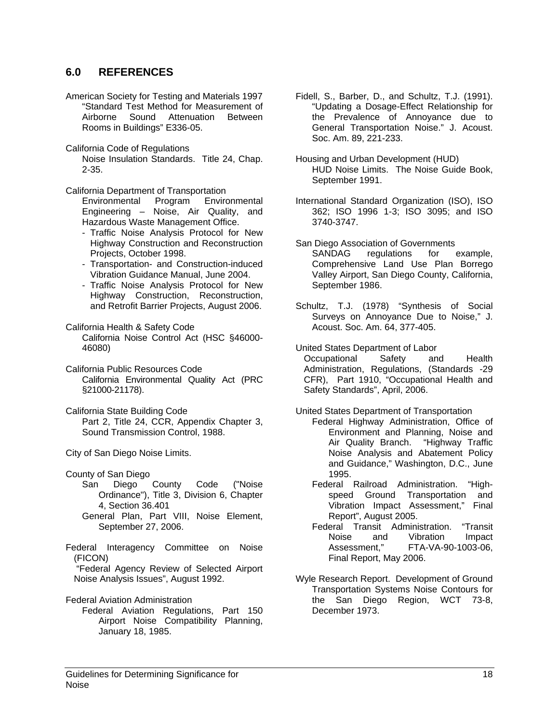#### **6.0 REFERENCES**

- American Society for Testing and Materials 1997 "Standard Test Method for Measurement of Airborne Sound Attenuation Between Rooms in Buildings" E336-05.
- California Code of Regulations

 Noise Insulation Standards. Title 24, Chap. 2-35.

California Department of Transportation

Environmental Program Environmental Engineering – Noise, Air Quality, and Hazardous Waste Management Office.

- Traffic Noise Analysis Protocol for New Highway Construction and Reconstruction Projects, October 1998.
- Transportation- and Construction-induced Vibration Guidance Manual, June 2004.
- Traffic Noise Analysis Protocol for New Highway Construction, Reconstruction, and Retrofit Barrier Projects, August 2006.

California Health & Safety Code California Noise Control Act (HSC §46000- 46080)

- California Public Resources Code California Environmental Quality Act (PRC §21000-21178).
- California State Building Code Part 2, Title 24, CCR, Appendix Chapter 3, Sound Transmission Control, 1988.

City of San Diego Noise Limits.

County of San Diego

- San Diego County Code ("Noise Ordinance"), Title 3, Division 6, Chapter 4, Section 36.401
- General Plan, Part VIII, Noise Element, September 27, 2006.
- Federal Interagency Committee on Noise (FICON)

 "Federal Agency Review of Selected Airport Noise Analysis Issues", August 1992.

Federal Aviation Administration

Federal Aviation Regulations, Part 150 Airport Noise Compatibility Planning, January 18, 1985.

Fidell, S., Barber, D., and Schultz, T.J. (1991). "Updating a Dosage-Effect Relationship for the Prevalence of Annoyance due to General Transportation Noise." J. Acoust. Soc. Am. 89, 221-233.

Housing and Urban Development (HUD) HUD Noise Limits. The Noise Guide Book, September 1991.

International Standard Organization (ISO), ISO 362; ISO 1996 1-3; ISO 3095; and ISO 3740-3747.

San Diego Association of Governments SANDAG regulations for example, Comprehensive Land Use Plan Borrego Valley Airport, San Diego County, California, September 1986.

Schultz, T.J. (1978) "Synthesis of Social Surveys on Annoyance Due to Noise," J. Acoust. Soc. Am. 64, 377-405.

United States Department of Labor Occupational Safety and Health Administration, Regulations, (Standards -29 CFR), Part 1910, "Occupational Health and Safety Standards", April, 2006.

United States Department of Transportation

- Federal Highway Administration, Office of Environment and Planning, Noise and Air Quality Branch. "Highway Traffic Noise Analysis and Abatement Policy and Guidance," Washington, D.C., June 1995.
- Federal Railroad Administration. "Highspeed Ground Transportation and Vibration Impact Assessment," Final Report", August 2005.
- Federal Transit Administration. "Transit and Vibration Impact Assessment," FTA-VA-90-1003-06, Final Report, May 2006.
- Wyle Research Report. Development of Ground Transportation Systems Noise Contours for the San Diego Region, WCT 73-8, December 1973.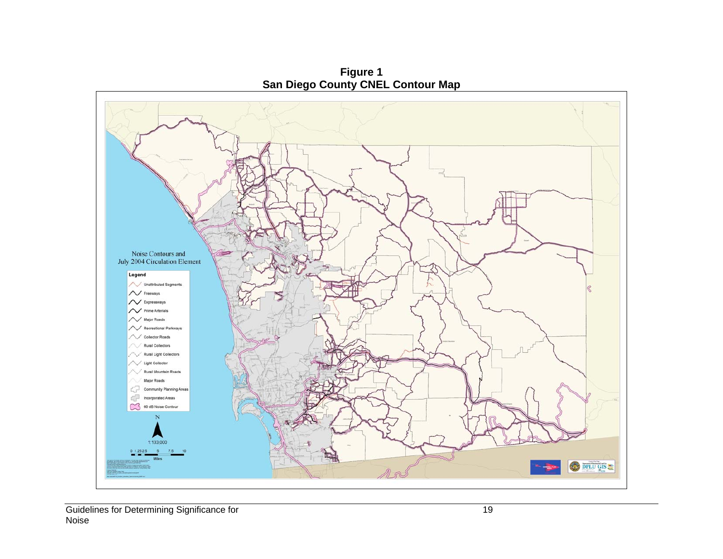

**Figure 1**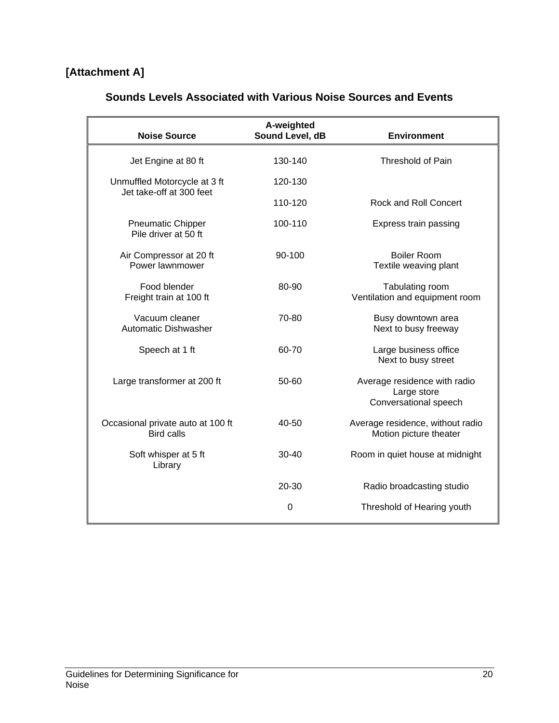# **[Attachment A]**

|  | <b>Sounds Levels Associated with Various Noise Sources and Events</b> |
|--|-----------------------------------------------------------------------|
|--|-----------------------------------------------------------------------|

| <b>Noise Source</b>                                      | A-weighted<br>Sound Level, dB | <b>Environment</b>                                                   |
|----------------------------------------------------------|-------------------------------|----------------------------------------------------------------------|
| Jet Engine at 80 ft                                      | 130-140                       | <b>Threshold of Pain</b>                                             |
| Unmuffled Motorcycle at 3 ft<br>Jet take-off at 300 feet | 120-130                       |                                                                      |
|                                                          | 110-120                       | Rock and Roll Concert                                                |
| <b>Pneumatic Chipper</b><br>Pile driver at 50 ft         | 100-110                       | Express train passing                                                |
| Air Compressor at 20 ft<br>Power lawnmower               | 90-100                        | <b>Boiler Room</b><br>Textile weaving plant                          |
| Food blender<br>Freight train at 100 ft                  | 80-90                         | Tabulating room<br>Ventilation and equipment room                    |
| Vacuum cleaner<br><b>Automatic Dishwasher</b>            | 70-80                         | Busy downtown area<br>Next to busy freeway                           |
| Speech at 1 ft                                           | 60-70                         | Large business office<br>Next to busy street                         |
| Large transformer at 200 ft                              | 50-60                         | Average residence with radio<br>Large store<br>Conversational speech |
| Occasional private auto at 100 ft<br><b>Bird calls</b>   | 40-50                         | Average residence, without radio<br>Motion picture theater           |
| Soft whisper at 5 ft<br>Library                          | $30 - 40$                     | Room in quiet house at midnight                                      |
|                                                          | $20 - 30$                     | Radio broadcasting studio                                            |
|                                                          | 0                             | Threshold of Hearing youth                                           |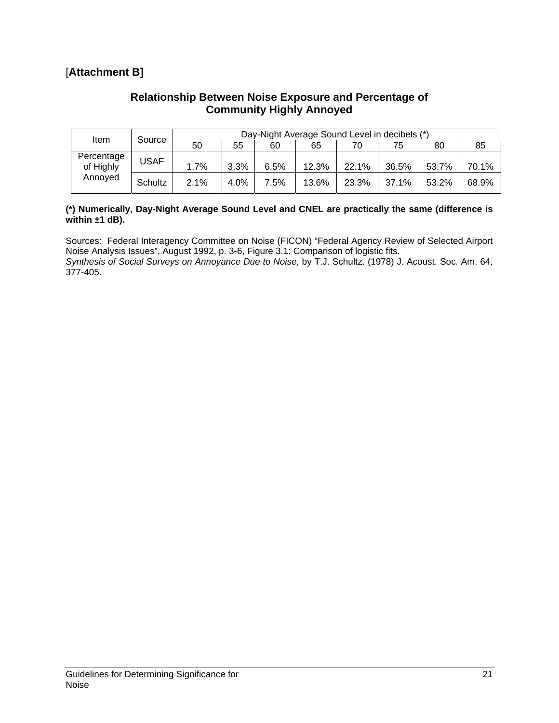## [**Attachment B]**

#### **Relationship Between Noise Exposure and Percentage of Community Highly Annoyed**

| ltem                    | Source  | Day-Night Average Sound Level in decibels (*) |      |      |       |       |       |       |       |
|-------------------------|---------|-----------------------------------------------|------|------|-------|-------|-------|-------|-------|
|                         |         | 50                                            | 55   | 60   | 65    | 70    | 75    | 80    | 85    |
| Percentage<br>of Highly | USAF    | 1.7%                                          | 3.3% | 6.5% | 12.3% | 22.1% | 36.5% | 53.7% | 70.1% |
| Annoved                 | Schultz | 2.1%                                          | 4.0% | 7.5% | 13.6% | 23.3% | 37.1% | 53.2% | 68.9% |

#### **(\*) Numerically, Day-Night Average Sound Level and CNEL are practically the same (difference is within ±1 dB).**

Sources: Federal Interagency Committee on Noise (FICON) "Federal Agency Review of Selected Airport Noise Analysis Issues", August 1992, p. 3-6, Figure 3.1: Comparison of logistic fits.

*Synthesis of Social Surveys on Annoyance Due to Noise,* by T.J. Schultz. (1978) J. Acoust. Soc. Am. 64, 377-405.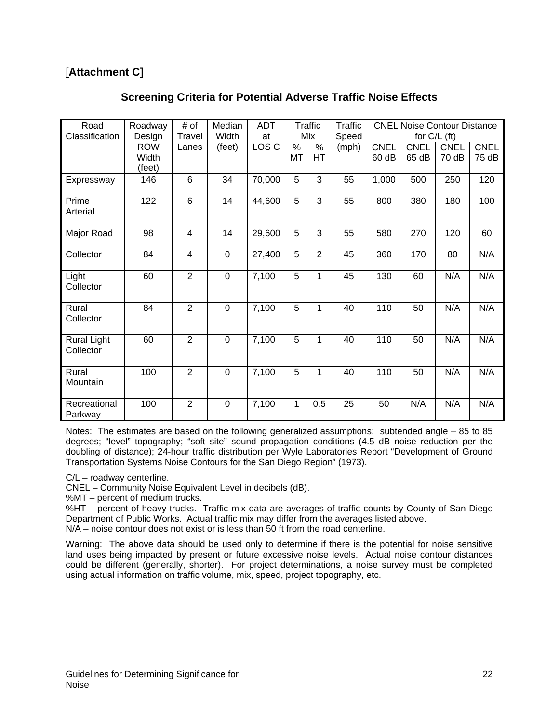# [**Attachment C]**

#### **Screening Criteria for Potential Adverse Traffic Noise Effects**

| Road<br>Classification   | Roadway              | # of            | Median<br>Width | <b>ADT</b>  | <b>Traffic</b><br>Mix |                | <b>Traffic</b> | <b>CNEL Noise Contour Distance</b><br>for $C/L$ (ft) |             |             |             |
|--------------------------|----------------------|-----------------|-----------------|-------------|-----------------------|----------------|----------------|------------------------------------------------------|-------------|-------------|-------------|
|                          | Design<br><b>ROW</b> | Travel<br>Lanes | (feet)          | at<br>LOS C | $\%$                  | $\%$           | Speed<br>(mph) | <b>CNEL</b>                                          | <b>CNEL</b> | <b>CNEL</b> | <b>CNEL</b> |
|                          | Width                |                 |                 |             | MT                    | <b>HT</b>      |                | 60 dB                                                | 65 dB       | 70 dB       | 75 dB       |
|                          | (feet)               |                 |                 |             |                       |                |                |                                                      |             |             |             |
| Expressway               | 146                  | $6\phantom{1}6$ | 34              | 70,000      | 5                     | 3              | 55             | 1,000                                                | 500         | 250         | 120         |
| Prime                    | 122                  | $6\phantom{1}6$ | 14              | 44,600      | 5                     | 3              | 55             | 800                                                  | 380         | 180         | 100         |
| Arterial                 |                      |                 |                 |             |                       |                |                |                                                      |             |             |             |
| Major Road               | 98                   | $\overline{4}$  | 14              | 29,600      | 5                     | $\overline{3}$ | 55             | 580                                                  | 270         | 120         | 60          |
| Collector                | 84                   | $\overline{4}$  | $\mathbf 0$     | 27,400      | 5                     | $\overline{2}$ | 45             | 360                                                  | 170         | 80          | N/A         |
| Light<br>Collector       | 60                   | $\overline{2}$  | $\mathbf 0$     | 7,100       | 5                     | 1              | 45             | 130                                                  | 60          | N/A         | N/A         |
| Rural<br>Collector       | 84                   | $\overline{2}$  | $\overline{0}$  | 7,100       | 5                     | 1              | 40             | 110                                                  | 50          | N/A         | N/A         |
| Rural Light<br>Collector | 60                   | $\overline{2}$  | $\mathbf 0$     | 7,100       | 5                     | 1              | 40             | 110                                                  | 50          | N/A         | N/A         |
| Rural<br>Mountain        | 100                  | $\overline{2}$  | $\mathbf 0$     | 7,100       | 5                     | 1              | 40             | 110                                                  | 50          | N/A         | N/A         |
| Recreational<br>Parkway  | 100                  | $\overline{2}$  | $\mathbf 0$     | 7,100       | 1                     | 0.5            | 25             | 50                                                   | N/A         | N/A         | N/A         |

Notes: The estimates are based on the following generalized assumptions: subtended angle – 85 to 85 degrees; "level" topography; "soft site" sound propagation conditions (4.5 dB noise reduction per the doubling of distance); 24-hour traffic distribution per Wyle Laboratories Report "Development of Ground Transportation Systems Noise Contours for the San Diego Region" (1973).

C/L – roadway centerline.

CNEL – Community Noise Equivalent Level in decibels (dB).

%MT – percent of medium trucks.

%HT – percent of heavy trucks. Traffic mix data are averages of traffic counts by County of San Diego Department of Public Works. Actual traffic mix may differ from the averages listed above. N/A – noise contour does not exist or is less than 50 ft from the road centerline.

Warning: The above data should be used only to determine if there is the potential for noise sensitive land uses being impacted by present or future excessive noise levels. Actual noise contour distances could be different (generally, shorter). For project determinations, a noise survey must be completed using actual information on traffic volume, mix, speed, project topography, etc.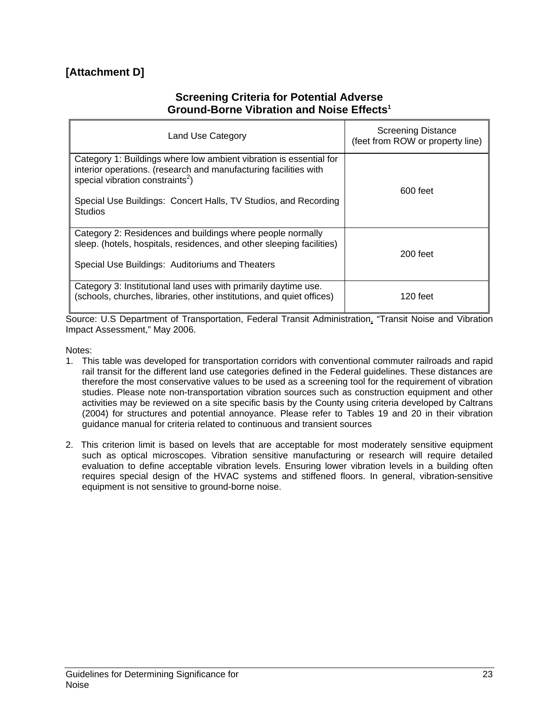# **[Attachment D]**

#### **Screening Criteria for Potential Adverse Ground-Borne Vibration and Noise Effects1**

| Land Use Category                                                                                                                                                                                                                                                           | <b>Screening Distance</b><br>(feet from ROW or property line) |
|-----------------------------------------------------------------------------------------------------------------------------------------------------------------------------------------------------------------------------------------------------------------------------|---------------------------------------------------------------|
| Category 1: Buildings where low ambient vibration is essential for<br>interior operations. (research and manufacturing facilities with<br>special vibration constraints <sup>2</sup> )<br>Special Use Buildings: Concert Halls, TV Studios, and Recording<br><b>Studios</b> | 600 feet                                                      |
| Category 2: Residences and buildings where people normally<br>sleep. (hotels, hospitals, residences, and other sleeping facilities)<br>Special Use Buildings: Auditoriums and Theaters                                                                                      | $200$ feet                                                    |
| Category 3: Institutional land uses with primarily daytime use.<br>(schools, churches, libraries, other institutions, and quiet offices)                                                                                                                                    | 120 feet                                                      |

Source: U.S Department of Transportation, Federal Transit Administration, "Transit Noise and Vibration Impact Assessment," May 2006.

Notes:

- 1. This table was developed for transportation corridors with conventional commuter railroads and rapid rail transit for the different land use categories defined in the Federal guidelines. These distances are therefore the most conservative values to be used as a screening tool for the requirement of vibration studies. Please note non-transportation vibration sources such as construction equipment and other activities may be reviewed on a site specific basis by the County using criteria developed by Caltrans (2004) for structures and potential annoyance. Please refer to Tables 19 and 20 in their vibration guidance manual for criteria related to continuous and transient sources
- 2. This criterion limit is based on levels that are acceptable for most moderately sensitive equipment such as optical microscopes. Vibration sensitive manufacturing or research will require detailed evaluation to define acceptable vibration levels. Ensuring lower vibration levels in a building often requires special design of the HVAC systems and stiffened floors. In general, vibration-sensitive equipment is not sensitive to ground-borne noise.